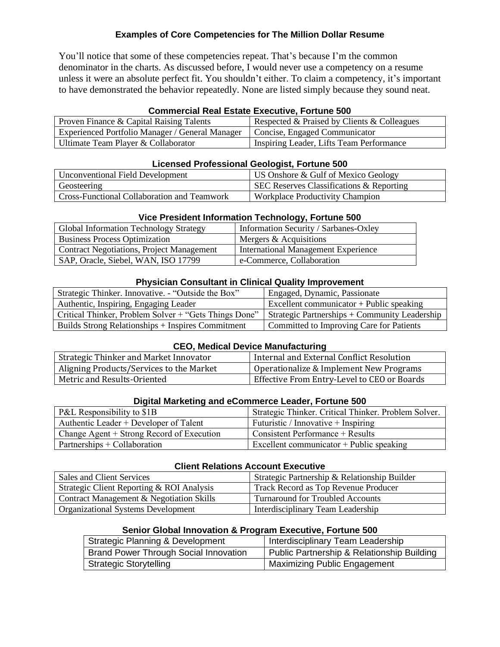# **Examples of Core Competencies for The Million Dollar Resume**

You'll notice that some of these competencies repeat. That's because I'm the common denominator in the charts. As discussed before, I would never use a competency on a resume unless it were an absolute perfect fit. You shouldn't either. To claim a competency, it's important to have demonstrated the behavior repeatedly. None are listed simply because they sound neat.

## **Commercial Real Estate Executive, Fortune 500**

| Proven Finance $\&$ Capital Raising Talents                                     | Respected & Praised by Clients & Colleagues |
|---------------------------------------------------------------------------------|---------------------------------------------|
| Experienced Portfolio Manager / General Manager   Concise, Engaged Communicator |                                             |
| Ultimate Team Player & Collaborator                                             | Inspiring Leader, Lifts Team Performance    |

## **Licensed Professional Geologist, Fortune 500**

| Unconventional Field Development            | US Onshore & Gulf of Mexico Geology                 |
|---------------------------------------------|-----------------------------------------------------|
| Geosteering                                 | <b>SEC Reserves Classifications &amp; Reporting</b> |
| Cross-Functional Collaboration and Teamwork | Workplace Productivity Champion                     |

## **Vice President Information Technology, Fortune 500**

| Global Information Technology Strategy           | Information Security / Sarbanes-Oxley      |
|--------------------------------------------------|--------------------------------------------|
| <b>Business Process Optimization</b>             | Mergers & Acquisitions                     |
| <b>Contract Negotiations, Project Management</b> | <b>International Management Experience</b> |
| SAP, Oracle, Siebel, WAN, ISO 17799              | e-Commerce, Collaboration                  |

## **Physician Consultant in Clinical Quality Improvement**

| Strategic Thinker. Innovative. - "Outside the Box"    | Engaged, Dynamic, Passionate                    |
|-------------------------------------------------------|-------------------------------------------------|
| Authentic, Inspiring, Engaging Leader                 | Excellent communicator + Public speaking        |
| Critical Thinker, Problem Solver + "Gets Things Done" | Strategic Partnerships $+$ Community Leadership |
| Builds Strong Relationships + Inspires Commitment     | Committed to Improving Care for Patients        |

### **CEO, Medical Device Manufacturing**

| Strategic Thinker and Market Innovator   | Internal and External Conflict Resolution   |
|------------------------------------------|---------------------------------------------|
| Aligning Products/Services to the Market | Operationalize & Implement New Programs     |
| Metric and Results-Oriented              | Effective From Entry-Level to CEO or Boards |

## **Digital Marketing and eCommerce Leader, Fortune 500**

| P&L Responsibility to \$1B                | Strategic Thinker. Critical Thinker. Problem Solver. |
|-------------------------------------------|------------------------------------------------------|
| Authentic Leader + Developer of Talent    | Futuristic / Innovative + Inspiring                  |
| Change Agent + Strong Record of Execution | Consistent Performance $+$ Results                   |
| $Partnerships + Collaboration$            | Excellent communicator $+$ Public speaking           |

#### **Client Relations Account Executive**

| Sales and Client Services                           | Strategic Partnership & Relationship Builder |
|-----------------------------------------------------|----------------------------------------------|
| Strategic Client Reporting & ROI Analysis           | Track Record as Top Revenue Producer         |
| <b>Contract Management &amp; Negotiation Skills</b> | <b>Turnaround for Troubled Accounts</b>      |
| <b>Organizational Systems Development</b>           | Interdisciplinary Team Leadership            |

#### **Senior Global Innovation & Program Executive, Fortune 500**

| Strategic Planning & Development             | Interdisciplinary Team Leadership          |
|----------------------------------------------|--------------------------------------------|
| <b>Brand Power Through Social Innovation</b> | Public Partnership & Relationship Building |
| <sup>1</sup> Strategic Storytelling          | Maximizing Public Engagement               |